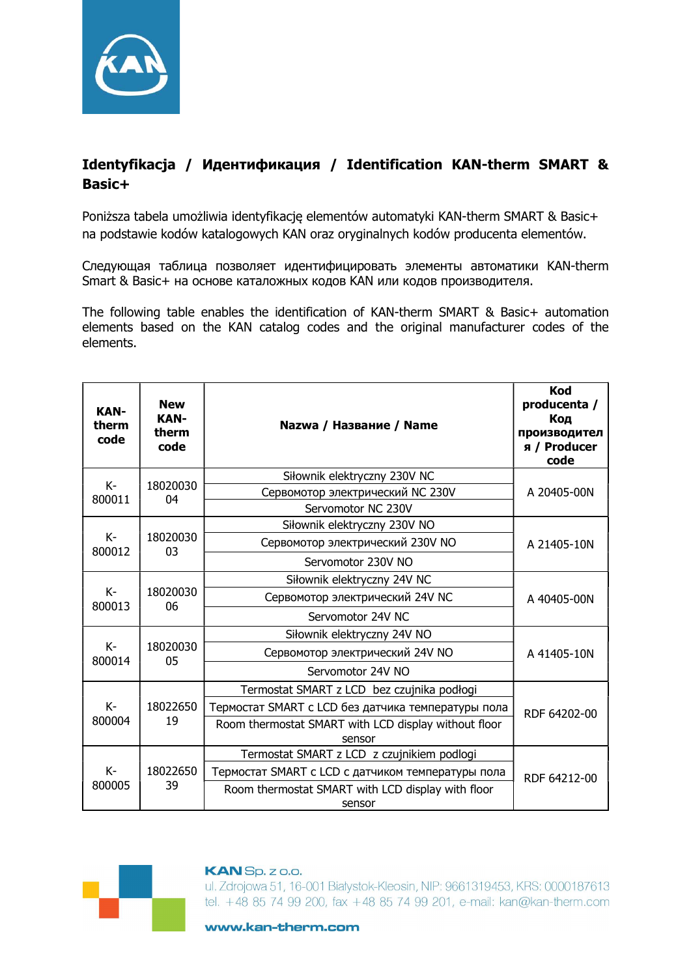

## Identyfikacja / Идентификация / Identification KAN-therm SMART & Basic+

Poniższa tabela umożliwia identyfikację elementów automatyki KAN-therm SMART & Basic+ na podstawie kodów katalogowych KAN oraz oryginalnych kodów producenta elementów.

Следующая таблица позволяет идентифицировать элементы автоматики KAN-therm Smart & Basic+ на основе каталожных кодов KAN или кодов производителя.

The following table enables the identification of KAN-therm SMART & Basic+ automation elements based on the KAN catalog codes and the original manufacturer codes of the elements.

| <b>New</b><br><b>KAN-</b><br>therm<br>code | Nazwa / Название / Name                              | <b>Kod</b><br>producenta /<br>Код<br>производител<br>я / Producer<br>code                                                                                                            |  |
|--------------------------------------------|------------------------------------------------------|--------------------------------------------------------------------------------------------------------------------------------------------------------------------------------------|--|
| 18020030<br>04                             | Siłownik elektryczny 230V NC                         | A 20405-00N                                                                                                                                                                          |  |
|                                            | Сервомотор электрический NC 230V                     |                                                                                                                                                                                      |  |
|                                            |                                                      |                                                                                                                                                                                      |  |
| 18020030<br>03                             | Siłownik elektryczny 230V NO                         |                                                                                                                                                                                      |  |
|                                            | Сервомотор электрический 230V NO                     | A 21405-10N                                                                                                                                                                          |  |
|                                            | Servomotor 230V NO                                   |                                                                                                                                                                                      |  |
| 18020030<br>06                             | Siłownik elektryczny 24V NC                          | A 40405-00N                                                                                                                                                                          |  |
|                                            | Сервомотор электрический 24V NC                      |                                                                                                                                                                                      |  |
|                                            | Servomotor 24V NC                                    |                                                                                                                                                                                      |  |
| 18020030<br>05                             | Siłownik elektryczny 24V NO                          |                                                                                                                                                                                      |  |
|                                            | Сервомотор электрический 24V NO                      | A 41405-10N                                                                                                                                                                          |  |
|                                            | Servomotor 24V NO                                    |                                                                                                                                                                                      |  |
| 18022650<br>19                             | Termostat SMART z LCD bez czujnika podłogi           | RDF 64202-00                                                                                                                                                                         |  |
|                                            | Термостат SMART с LCD без датчика температуры пола   |                                                                                                                                                                                      |  |
|                                            | Room thermostat SMART with LCD display without floor |                                                                                                                                                                                      |  |
| 18022650<br>39                             |                                                      |                                                                                                                                                                                      |  |
|                                            |                                                      |                                                                                                                                                                                      |  |
|                                            |                                                      | RDF 64212-00                                                                                                                                                                         |  |
|                                            | sensor                                               |                                                                                                                                                                                      |  |
|                                            |                                                      | Servomotor NC 230V<br>sensor<br>Termostat SMART z LCD z czujnikiem podlogi<br>Термостат SMART с LCD с датчиком температуры пола<br>Room thermostat SMART with LCD display with floor |  |



## **KAN** Sp. z o.o.

ul. Zdrojowa 51, 16-001 Białystok-Kleosin, NIP: 9661319453, KRS: 0000187613 tel. +48 85 74 99 200, fax +48 85 74 99 201, e-mail: kan@kan-therm.com

www.kan-therm.com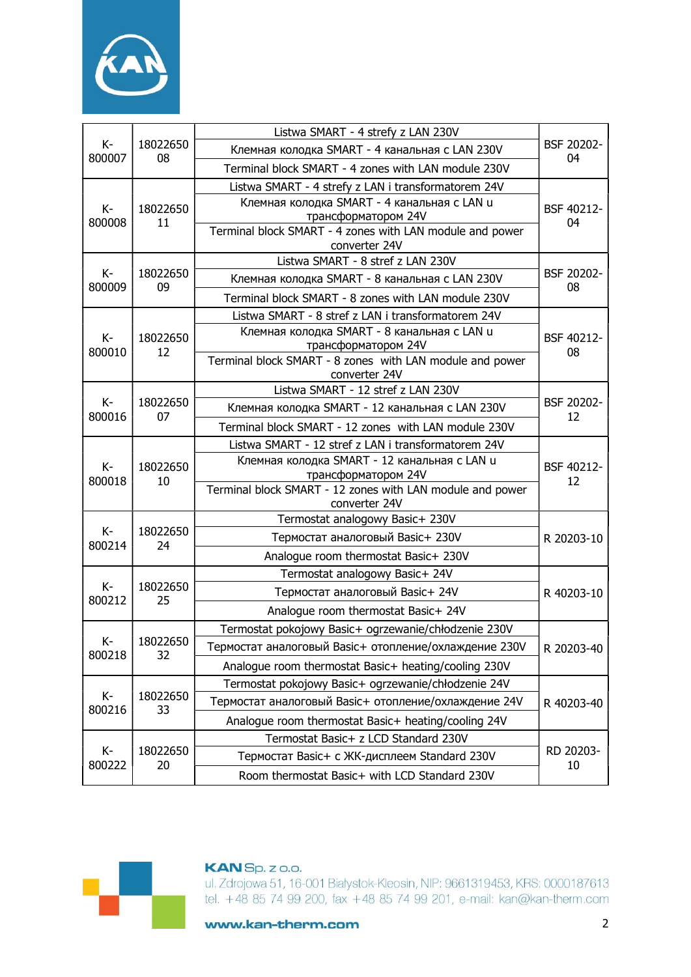

| K-<br>800007   | 18022650<br>08 | Listwa SMART - 4 strefy z LAN 230V                                         |                  |  |
|----------------|----------------|----------------------------------------------------------------------------|------------------|--|
|                |                | Клемная колодка SMART - 4 канальная с LAN 230V                             | BSF 20202-<br>04 |  |
|                |                | Terminal block SMART - 4 zones with LAN module 230V                        |                  |  |
|                |                | Listwa SMART - 4 strefy z LAN i transformatorem 24V                        | BSF 40212-       |  |
| K-<br>800008   | 18022650<br>11 | Клемная колодка SMART - 4 канальная с LAN u                                |                  |  |
|                |                | трансформатором 24V                                                        | 04               |  |
|                |                | Terminal block SMART - 4 zones with LAN module and power<br>converter 24V  |                  |  |
| $K-$<br>800009 | 18022650<br>09 | Listwa SMART - 8 stref z LAN 230V                                          | BSF 20202-<br>08 |  |
|                |                | Клемная колодка SMART - 8 канальная с LAN 230V                             |                  |  |
|                |                | Terminal block SMART - 8 zones with LAN module 230V                        |                  |  |
|                |                | Listwa SMART - 8 stref z LAN i transformatorem 24V                         | BSF 40212-       |  |
| K-             | 18022650       | Клемная колодка SMART - 8 канальная с LAN u                                |                  |  |
| 800010         | 12             | трансформатором 24V                                                        | 08               |  |
|                |                | Terminal block SMART - 8 zones with LAN module and power<br>converter 24V  |                  |  |
|                |                | Listwa SMART - 12 stref z LAN 230V                                         | BSF 20202-<br>12 |  |
| $K-$           | 18022650       | Клемная колодка SMART - 12 канальная с LAN 230V                            |                  |  |
| 800016         | 07             | Terminal block SMART - 12 zones with LAN module 230V                       |                  |  |
|                | 18022650<br>10 | Listwa SMART - 12 stref z LAN i transformatorem 24V                        | BSF 40212-<br>12 |  |
| $K -$          |                | Клемная колодка SMART - 12 канальная с LAN u                               |                  |  |
| 800018         |                | трансформатором 24V                                                        |                  |  |
|                |                | Terminal block SMART - 12 zones with LAN module and power<br>converter 24V |                  |  |
|                | 18022650<br>24 | Termostat analogowy Basic+ 230V                                            |                  |  |
| $K -$          |                | Термостат аналоговый Basic+ 230V                                           | R 20203-10       |  |
| 800214         |                | Analogue room thermostat Basic+ 230V                                       |                  |  |
|                | 18022650<br>25 | Termostat analogowy Basic+ 24V                                             | R 40203-10       |  |
| $K-$<br>800212 |                | Термостат аналоговый Basic+ 24V                                            |                  |  |
|                |                | Analogue room thermostat Basic+ 24V                                        |                  |  |
|                | 18022650<br>32 | Termostat pokojowy Basic+ ogrzewanie/chłodzenie 230V                       | R 20203-40       |  |
| K-<br>800218   |                | Термостат аналоговый Basic+ отопление/охлаждение 230V                      |                  |  |
|                |                | Analogue room thermostat Basic+ heating/cooling 230V                       |                  |  |
|                | 18022650<br>33 | Termostat pokojowy Basic+ ogrzewanie/chłodzenie 24V                        | R 40203-40       |  |
| K-<br>800216   |                | Термостат аналоговый Basic+ отопление/охлаждение 24V                       |                  |  |
|                |                | Analogue room thermostat Basic+ heating/cooling 24V                        |                  |  |
| K-<br>800222   |                | Termostat Basic+ z LCD Standard 230V                                       | RD 20203-<br>10  |  |
|                | 18022650<br>20 | Термостат Basic+ с ЖК-дисплеем Standard 230V                               |                  |  |
|                |                | Room thermostat Basic+ with LCD Standard 230V                              |                  |  |



## **KAN** Sp. z o.o.

ul. Zdrojowa 51, 16-001 Białystok-Kleosin, NIP: 9661319453, KRS: 0000187613 tel. +48 85 74 99 200, fax +48 85 74 99 201, e-mail: kan@kan-therm.com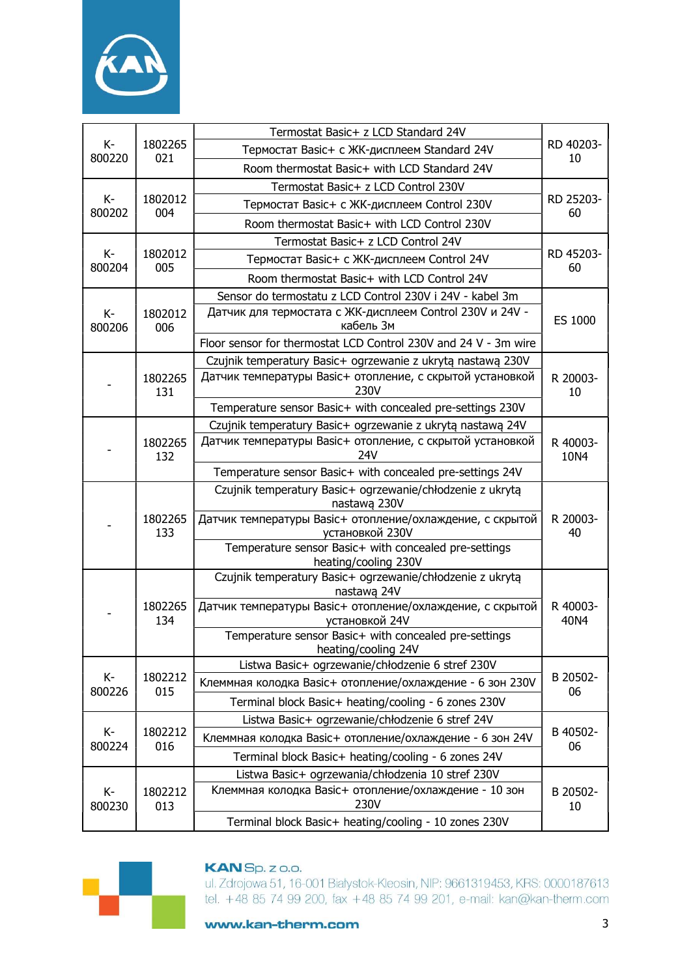

| $K-$<br>800220  | 1802265<br>021 | Termostat Basic+ z LCD Standard 24V                                           |                  |  |
|-----------------|----------------|-------------------------------------------------------------------------------|------------------|--|
|                 |                | Термостат Basic+ с ЖК-дисплеем Standard 24V                                   | RD 40203-<br>10  |  |
|                 |                | Room thermostat Basic+ with LCD Standard 24V                                  |                  |  |
| K-<br>800202    |                | Termostat Basic+ z LCD Control 230V                                           |                  |  |
|                 | 1802012<br>004 | Термостат Basic+ с ЖК-дисплеем Control 230V                                   | RD 25203-<br>60  |  |
|                 |                | Room thermostat Basic+ with LCD Control 230V                                  |                  |  |
| $K -$<br>800204 | 1802012<br>005 | Termostat Basic+ z LCD Control 24V                                            | RD 45203-<br>60  |  |
|                 |                | Термостат Basic+ с ЖК-дисплеем Control 24V                                    |                  |  |
|                 |                | Room thermostat Basic+ with LCD Control 24V                                   |                  |  |
|                 | 1802012<br>006 | Sensor do termostatu z LCD Control 230V i 24V - kabel 3m                      | ES 1000          |  |
| $K-$<br>800206  |                | Датчик для термостата с ЖК-дисплеем Control 230V и 24V -<br>кабель Зм         |                  |  |
|                 |                | Floor sensor for thermostat LCD Control 230V and 24 V - 3m wire               |                  |  |
|                 |                | Czujnik temperatury Basic+ ogrzewanie z ukrytą nastawą 230V                   |                  |  |
|                 | 1802265<br>131 | Датчик температуры Basic+ отопление, с скрытой установкой<br>230V             | R 20003-<br>10   |  |
|                 |                | Temperature sensor Basic+ with concealed pre-settings 230V                    |                  |  |
|                 |                | Czujnik temperatury Basic+ ogrzewanie z ukrytą nastawą 24V                    | R 40003-<br>10N4 |  |
|                 | 1802265<br>132 | Датчик температуры Basic+ отопление, с скрытой установкой<br>24V              |                  |  |
|                 |                | Temperature sensor Basic+ with concealed pre-settings 24V                     |                  |  |
|                 | 1802265<br>133 | Czujnik temperatury Basic+ ogrzewanie/chłodzenie z ukrytą<br>nastawą 230V     | R 20003-<br>40   |  |
|                 |                | Датчик температуры Basic+ отопление/охлаждение, с скрытой<br>установкой 230V  |                  |  |
|                 |                | Temperature sensor Basic+ with concealed pre-settings<br>heating/cooling 230V |                  |  |
|                 | 1802265<br>134 | Czujnik temperatury Basic+ ogrzewanie/chłodzenie z ukrytą<br>nastawą 24V      | R 40003-<br>40N4 |  |
|                 |                | Датчик температуры Basic+ отопление/охлаждение, с скрытой<br>установкой 24V   |                  |  |
|                 |                | Temperature sensor Basic+ with concealed pre-settings<br>heating/cooling 24V  |                  |  |
|                 |                | Listwa Basic+ ogrzewanie/chłodzenie 6 stref 230V                              | B 20502-<br>06   |  |
| K-<br>800226    | 1802212<br>015 | Клеммная колодка Basic+ отопление/охлаждение - 6 зон 230V                     |                  |  |
|                 |                | Terminal block Basic+ heating/cooling - 6 zones 230V                          |                  |  |
| K-<br>800224    | 1802212<br>016 | Listwa Basic+ ogrzewanie/chłodzenie 6 stref 24V                               | B 40502-<br>06   |  |
|                 |                | Клеммная колодка Basic+ отопление/охлаждение - 6 зон 24V                      |                  |  |
|                 |                | Terminal block Basic+ heating/cooling - 6 zones 24V                           |                  |  |
| K-<br>800230    | 1802212<br>013 | Listwa Basic+ ogrzewania/chłodzenia 10 stref 230V                             |                  |  |
|                 |                | Клеммная колодка Basic+ отопление/охлаждение - 10 зон<br>230V                 | B 20502-<br>10   |  |
|                 |                | Terminal block Basic+ heating/cooling - 10 zones 230V                         |                  |  |



ul. Zdrojowa 51, 16-001 Białystok-Kleosin, NIP: 9661319453, KRS: 0000187613 tel. +48 85 74 99 200, fax +48 85 74 99 201, e-mail: kan@kan-therm.com